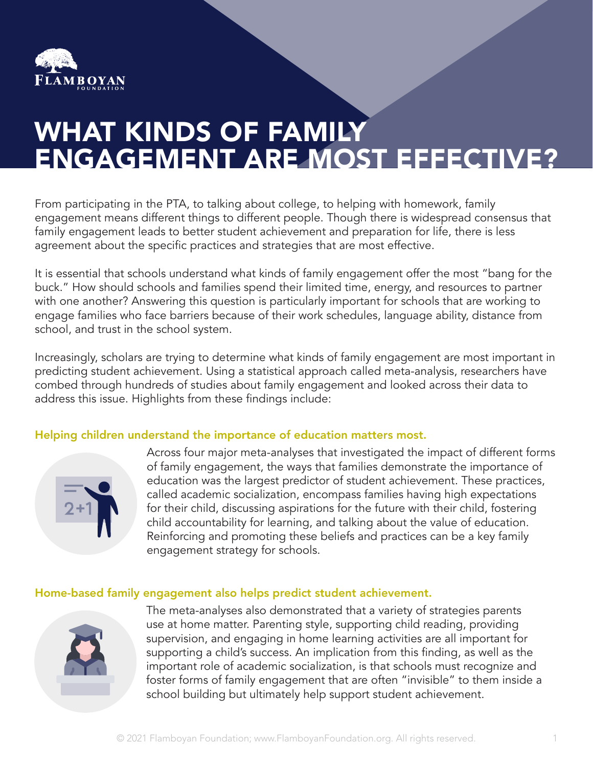

# WHAT KINDS OF FAMILY ENGAGEMENT ARE MOST EFFECTIVE?

From participating in the PTA, to talking about college, to helping with homework, family engagement means different things to different people. Though there is widespread consensus that family engagement leads to better student achievement and preparation for life, there is less agreement about the specific practices and strategies that are most effective.

It is essential that schools understand what kinds of family engagement offer the most "bang for the buck." How should schools and families spend their limited time, energy, and resources to partner with one another? Answering this question is particularly important for schools that are working to engage families who face barriers because of their work schedules, language ability, distance from school, and trust in the school system.

Increasingly, scholars are trying to determine what kinds of family engagement are most important in predicting student achievement. Using a statistical approach called meta-analysis, researchers have combed through hundreds of studies about family engagement and looked across their data to address this issue. Highlights from these findings include:

## Helping children understand the importance of education matters most.



Across four major meta-analyses that investigated the impact of different forms of family engagement, the ways that families demonstrate the importance of education was the largest predictor of student achievement. These practices, called academic socialization, encompass families having high expectations for their child, discussing aspirations for the future with their child, fostering child accountability for learning, and talking about the value of education. Reinforcing and promoting these beliefs and practices can be a key family engagement strategy for schools.

# Home-based family engagement also helps predict student achievement.



The meta-analyses also demonstrated that a variety of strategies parents use at home matter. Parenting style, supporting child reading, providing supervision, and engaging in home learning activities are all important for supporting a child's success. An implication from this finding, as well as the important role of academic socialization, is that schools must recognize and foster forms of family engagement that are often "invisible" to them inside a school building but ultimately help support student achievement.